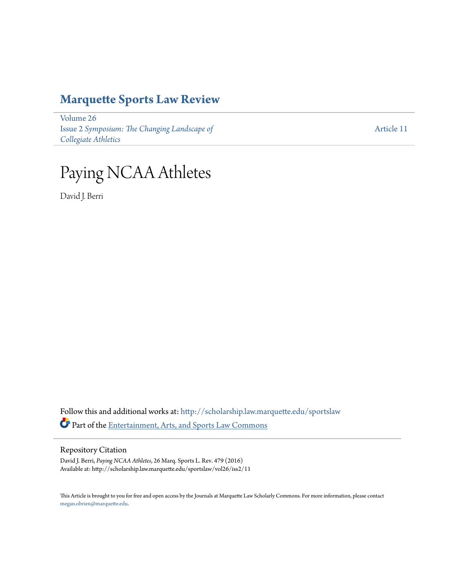## **[Marquette Sports Law Review](http://scholarship.law.marquette.edu/sportslaw?utm_source=scholarship.law.marquette.edu%2Fsportslaw%2Fvol26%2Fiss2%2F11&utm_medium=PDF&utm_campaign=PDFCoverPages)**

[Volume 26](http://scholarship.law.marquette.edu/sportslaw/vol26?utm_source=scholarship.law.marquette.edu%2Fsportslaw%2Fvol26%2Fiss2%2F11&utm_medium=PDF&utm_campaign=PDFCoverPages) Issue 2 *[Symposium: The Changing Landscape of](http://scholarship.law.marquette.edu/sportslaw/vol26/iss2?utm_source=scholarship.law.marquette.edu%2Fsportslaw%2Fvol26%2Fiss2%2F11&utm_medium=PDF&utm_campaign=PDFCoverPages) [Collegiate Athletics](http://scholarship.law.marquette.edu/sportslaw/vol26/iss2?utm_source=scholarship.law.marquette.edu%2Fsportslaw%2Fvol26%2Fiss2%2F11&utm_medium=PDF&utm_campaign=PDFCoverPages)*

[Article 11](http://scholarship.law.marquette.edu/sportslaw/vol26/iss2/11?utm_source=scholarship.law.marquette.edu%2Fsportslaw%2Fvol26%2Fiss2%2F11&utm_medium=PDF&utm_campaign=PDFCoverPages)

# Paying NCAA Athletes

David J. Berri

Follow this and additional works at: [http://scholarship.law.marquette.edu/sportslaw](http://scholarship.law.marquette.edu/sportslaw?utm_source=scholarship.law.marquette.edu%2Fsportslaw%2Fvol26%2Fiss2%2F11&utm_medium=PDF&utm_campaign=PDFCoverPages) Part of the [Entertainment, Arts, and Sports Law Commons](http://network.bepress.com/hgg/discipline/893?utm_source=scholarship.law.marquette.edu%2Fsportslaw%2Fvol26%2Fiss2%2F11&utm_medium=PDF&utm_campaign=PDFCoverPages)

#### Repository Citation

David J. Berri, *Paying NCAA Athletes*, 26 Marq. Sports L. Rev. 479 (2016) Available at: http://scholarship.law.marquette.edu/sportslaw/vol26/iss2/11

This Article is brought to you for free and open access by the Journals at Marquette Law Scholarly Commons. For more information, please contact [megan.obrien@marquette.edu.](mailto:megan.obrien@marquette.edu)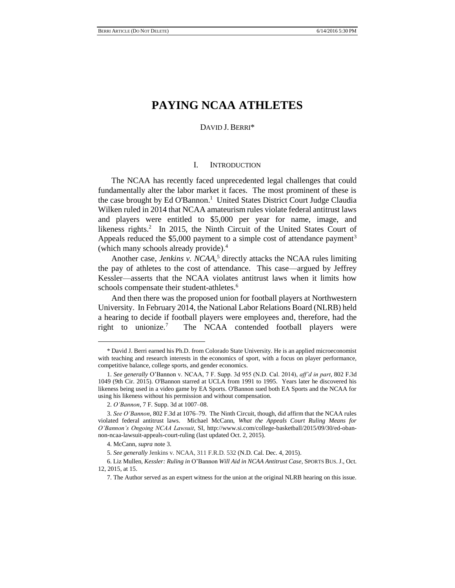### **PAYING NCAA ATHLETES**

#### DAVID J. BERRI\*

#### I. INTRODUCTION

The NCAA has recently faced unprecedented legal challenges that could fundamentally alter the labor market it faces. The most prominent of these is the case brought by Ed O'Bannon. 1 United States District Court Judge Claudia Wilken ruled in 2014 that NCAA amateurism rules violate federal antitrust laws and players were entitled to \$5,000 per year for name, image, and likeness rights.<sup>2</sup> In 2015, the Ninth Circuit of the United States Court of Appeals reduced the  $$5,000$  payment to a simple cost of attendance payment<sup>3</sup> (which many schools already provide).<sup>4</sup>

Another case, *Jenkins v. NCAA*, <sup>5</sup> directly attacks the NCAA rules limiting the pay of athletes to the cost of attendance. This case—argued by Jeffrey Kessler—asserts that the NCAA violates antitrust laws when it limits how schools compensate their student-athletes.<sup>6</sup>

And then there was the proposed union for football players at Northwestern University. In February 2014, the National Labor Relations Board (NLRB) held a hearing to decide if football players were employees and, therefore, had the right to unionize.<sup>7</sup> The NCAA contended football players were

<sup>\*</sup> David J. Berri earned his Ph.D. from Colorado State University. He is an applied microeconomist with teaching and research interests in the economics of sport, with a focus on player performance, competitive balance, college sports, and gender economics.

<sup>1.</sup> *See generally* O'Bannon v. NCAA, 7 F. Supp. 3d 955 (N.D. Cal. 2014), *aff'd in part*, 802 F.3d 1049 (9th Cir. 2015). O'Bannon starred at UCLA from 1991 to 1995. Years later he discovered his likeness being used in a video game by EA Sports. O'Bannon sued both EA Sports and the NCAA for using his likeness without his permission and without compensation.

<sup>2.</sup> *O'Bannon*, 7 F. Supp. 3d at 1007–08.

<sup>3.</sup> *See O'Bannon*, 802 F.3d at 1076–79. The Ninth Circuit, though, did affirm that the NCAA rules violated federal antitrust laws. Michael McCann, *What the Appeals Court Ruling Means for O'Bannon's Ongoing NCAA Lawsuit*, SI, http://www.si.com/college-basketball/2015/09/30/ed-obannon-ncaa-lawsuit-appeals-court-ruling (last updated Oct. 2, 2015).

<sup>4.</sup> McCann, *supra* note 3.

<sup>5.</sup> *See generally* Jenkins v. NCAA, 311 F.R.D. 532 (N.D. Cal. Dec. 4, 2015).

<sup>6.</sup> Liz Mullen, *Kessler: Ruling in* O'Bannon *Will Aid in NCAA Antitrust Case*, SPORTS BUS. J., Oct. 12, 2015, at 15.

<sup>7.</sup> The Author served as an expert witness for the union at the original NLRB hearing on this issue.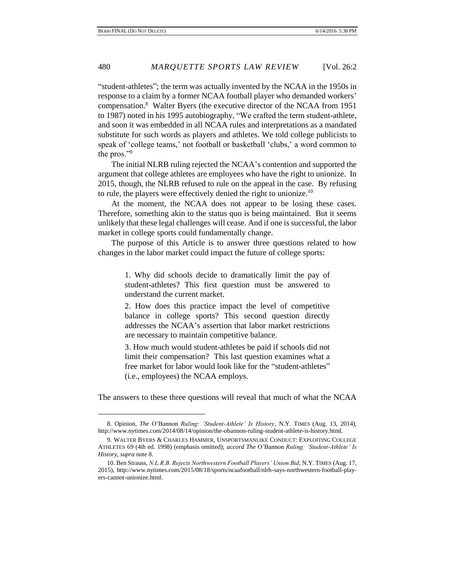"student-athletes"; the term was actually invented by the NCAA in the 1950s in response to a claim by a former NCAA football player who demanded workers' compensation.<sup>8</sup> Walter Byers (the executive director of the NCAA from 1951 to 1987) noted in his 1995 autobiography, "We crafted the term student-athlete, and soon it was embedded in all NCAA rules and interpretations as a mandated substitute for such words as players and athletes. We told college publicists to speak of 'college teams,' not football or basketball 'clubs,' a word common to the pros."<sup>9</sup>

The initial NLRB ruling rejected the NCAA's contention and supported the argument that college athletes are employees who have the right to unionize. In 2015, though, the NLRB refused to rule on the appeal in the case. By refusing to rule, the players were effectively denied the right to unionize.<sup>10</sup>

At the moment, the NCAA does not appear to be losing these cases. Therefore, something akin to the status quo is being maintained. But it seems unlikely that these legal challenges will cease. And if one is successful, the labor market in college sports could fundamentally change.

The purpose of this Article is to answer three questions related to how changes in the labor market could impact the future of college sports:

> 1. Why did schools decide to dramatically limit the pay of student-athletes? This first question must be answered to understand the current market.

> 2. How does this practice impact the level of competitive balance in college sports? This second question directly addresses the NCAA's assertion that labor market restrictions are necessary to maintain competitive balance.

> 3. How much would student-athletes be paid if schools did not limit their compensation? This last question examines what a free market for labor would look like for the "student-athletes" (i.e., employees) the NCAA employs.

The answers to these three questions will reveal that much of what the NCAA

<sup>8.</sup> Opinion, *The* O'Bannon *Ruling: 'Student-Athlete' Is History*, N.Y. TIMES (Aug. 13, 2014), http://www.nytimes.com/2014/08/14/opinion/the-obannon-ruling-student-athlete-is-history.html.

<sup>9.</sup> WALTER BYERS & CHARLES HAMMER, UNSPORTSMANLIKE CONDUCT: EXPLOITING COLLEGE ATHLETES 69 (4th ed. 1998) (emphasis omitted); *accord The* O'Bannon *Ruling: 'Student-Athlete' Is History*, *supra* note 8.

<sup>10.</sup> Ben Strauss, *N.L.R.B. Rejects Northwestern Football Players' Union Bid*, N.Y. TIMES (Aug. 17, 2015), http://www.nytimes.com/2015/08/18/sports/ncaafootball/nlrb-says-northwestern-football-players-cannot-unionize.html.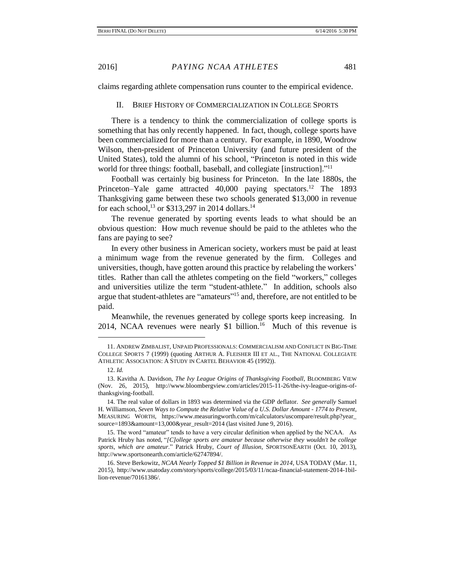claims regarding athlete compensation runs counter to the empirical evidence.

#### II. BRIEF HISTORY OF COMMERCIALIZATION IN COLLEGE SPORTS

There is a tendency to think the commercialization of college sports is something that has only recently happened. In fact, though, college sports have been commercialized for more than a century. For example, in 1890, Woodrow Wilson, then-president of Princeton University (and future president of the United States), told the alumni of his school, "Princeton is noted in this wide world for three things: football, baseball, and collegiate [instruction]."<sup>11</sup>

Football was certainly big business for Princeton. In the late 1880s, the Princeton–Yale game attracted 40,000 paying spectators.<sup>12</sup> The 1893 Thanksgiving game between these two schools generated \$13,000 in revenue for each school,<sup>13</sup> or \$313,297 in 2014 dollars.<sup>14</sup>

The revenue generated by sporting events leads to what should be an obvious question: How much revenue should be paid to the athletes who the fans are paying to see?

In every other business in American society, workers must be paid at least a minimum wage from the revenue generated by the firm. Colleges and universities, though, have gotten around this practice by relabeling the workers' titles. Rather than call the athletes competing on the field "workers," colleges and universities utilize the term "student-athlete." In addition, schools also argue that student-athletes are "amateurs"<sup>15</sup> and, therefore, are not entitled to be paid.

Meanwhile, the revenues generated by college sports keep increasing. In 2014, NCAA revenues were nearly \$1 billion.<sup>16</sup> Much of this revenue is

<sup>11.</sup> ANDREW ZIMBALIST, UNPAID PROFESSIONALS: COMMERCIALISM AND CONFLICT IN BIG-TIME COLLEGE SPORTS 7 (1999) (quoting ARTHUR A. FLEISHER III ET AL., THE NATIONAL COLLEGIATE ATHLETIC ASSOCIATION: A STUDY IN CARTEL BEHAVIOR 45 (1992)).

<sup>12.</sup> *Id.*

<sup>13.</sup> Kavitha A. Davidson, *The Ivy League Origins of Thanksgiving Football*, BLOOMBERG VIEW (Nov. 26, 2015), http://www.bloombergview.com/articles/2015-11-26/the-ivy-league-origins-ofthanksgiving-football.

<sup>14.</sup> The real value of dollars in 1893 was determined via the GDP deflator. *See generally* Samuel H. Williamson, *Seven Ways to Compute the Relative Value of a U.S. Dollar Amount - 1774 to Present*, MEASURING WORTH, https://www.measuringworth.com/m/calculators/uscompare/result.php?year\_ source=1893&amount=13,000&year\_result=2014 (last visited June 9, 2016).

<sup>15.</sup> The word "amateur" tends to have a very circular definition when applied by the NCAA. As Patrick Hruby has noted, "*[C]ollege sports are amateur because otherwise they wouldn't be college sports, which are amateur*." Patrick Hruby, *Court of Illusion*, SPORTSONEARTH (Oct. 10, 2013), http://www.sportsonearth.com/article/62747894/.

<sup>16.</sup> Steve Berkowitz, *NCAA Nearly Topped \$1 Billion in Revenue in 2014*, USA TODAY (Mar. 11, 2015), http://www.usatoday.com/story/sports/college/2015/03/11/ncaa-financial-statement-2014-1billion-revenue/70161386/.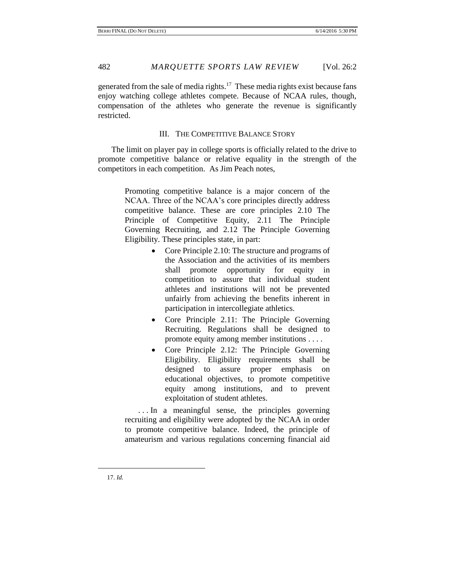generated from the sale of media rights.<sup>17</sup> These media rights exist because fans enjoy watching college athletes compete. Because of NCAA rules, though, compensation of the athletes who generate the revenue is significantly restricted.

#### III. THE COMPETITIVE BALANCE STORY

The limit on player pay in college sports is officially related to the drive to promote competitive balance or relative equality in the strength of the competitors in each competition. As Jim Peach notes,

> Promoting competitive balance is a major concern of the NCAA. Three of the NCAA's core principles directly address competitive balance. These are core principles 2.10 The Principle of Competitive Equity, 2.11 The Principle Governing Recruiting, and 2.12 The Principle Governing Eligibility. These principles state, in part:

- Core Principle 2.10: The structure and programs of the Association and the activities of its members shall promote opportunity for equity in competition to assure that individual student athletes and institutions will not be prevented unfairly from achieving the benefits inherent in participation in intercollegiate athletics.
- Core Principle 2.11: The Principle Governing Recruiting. Regulations shall be designed to promote equity among member institutions . . . .
- Core Principle 2.12: The Principle Governing Eligibility. Eligibility requirements shall be designed to assure proper emphasis on educational objectives, to promote competitive equity among institutions, and to prevent exploitation of student athletes.

. . . In a meaningful sense, the principles governing recruiting and eligibility were adopted by the NCAA in order to promote competitive balance. Indeed, the principle of amateurism and various regulations concerning financial aid

17. *Id.*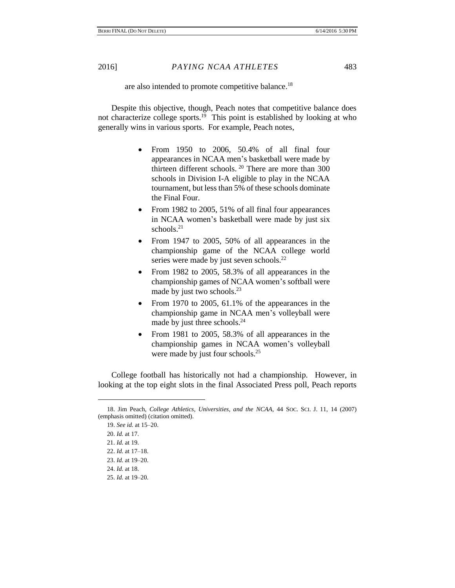#### are also intended to promote competitive balance.<sup>18</sup>

Despite this objective, though, Peach notes that competitive balance does not characterize college sports.<sup>19</sup> This point is established by looking at who generally wins in various sports. For example, Peach notes,

- From 1950 to 2006, 50.4% of all final four appearances in NCAA men's basketball were made by thirteen different schools.  $20$  There are more than 300 schools in Division I-A eligible to play in the NCAA tournament, but less than 5% of these schools dominate the Final Four.
- From 1982 to 2005, 51% of all final four appearances in NCAA women's basketball were made by just six schools. 21
- From 1947 to 2005, 50% of all appearances in the championship game of the NCAA college world series were made by just seven schools.<sup>22</sup>
- From 1982 to 2005, 58.3% of all appearances in the championship games of NCAA women's softball were made by just two schools.<sup>23</sup>
- From 1970 to 2005, 61.1% of the appearances in the championship game in NCAA men's volleyball were made by just three schools.<sup>24</sup>
- From 1981 to 2005, 58.3% of all appearances in the championship games in NCAA women's volleyball were made by just four schools.<sup>25</sup>

College football has historically not had a championship. However, in looking at the top eight slots in the final Associated Press poll, Peach reports

<sup>18.</sup> Jim Peach, *College Athletics, Universities, and the NCAA*, 44 SOC. SCI. J. 11, 14 (2007) (emphasis omitted) (citation omitted).

<sup>19.</sup> *See id.* at 15–20. 20. *Id.* at 17. 21. *Id.* at 19. 22. *Id.* at 17–18. 23. *Id.* at 19–20. 24. *Id.* at 18. 25. *Id.* at 19–20.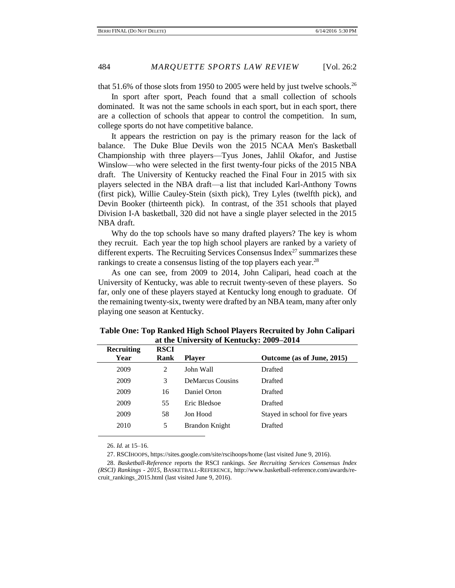that 51.6% of those slots from 1950 to 2005 were held by just twelve schools.<sup>26</sup>

In sport after sport, Peach found that a small collection of schools dominated. It was not the same schools in each sport, but in each sport, there are a collection of schools that appear to control the competition. In sum, college sports do not have competitive balance.

It appears the restriction on pay is the primary reason for the lack of balance. The Duke Blue Devils won the 2015 NCAA Men's Basketball Championship with three players—Tyus Jones, Jahlil Okafor, and Justise Winslow—who were selected in the first twenty-four picks of the 2015 NBA draft. The University of Kentucky reached the Final Four in 2015 with six players selected in the NBA draft—a list that included Karl-Anthony Towns (first pick), Willie Cauley-Stein (sixth pick), Trey Lyles (twelfth pick), and Devin Booker (thirteenth pick). In contrast, of the 351 schools that played Division I-A basketball, 320 did not have a single player selected in the 2015 NBA draft.

Why do the top schools have so many drafted players? The key is whom they recruit. Each year the top high school players are ranked by a variety of different experts. The Recruiting Services Consensus Index<sup>27</sup> summarizes these rankings to create a consensus listing of the top players each year.<sup>28</sup>

As one can see, from 2009 to 2014, John Calipari, head coach at the University of Kentucky, was able to recruit twenty-seven of these players. So far, only one of these players stayed at Kentucky long enough to graduate. Of the remaining twenty-six, twenty were drafted by an NBA team, many after only playing one season at Kentucky.

| Recruiting | <b>RSCI</b> |                         |                                 |
|------------|-------------|-------------------------|---------------------------------|
| Year       | Rank        | <b>Player</b>           | Outcome (as of June, 2015)      |
| 2009       | 2           | John Wall               | Drafted                         |
| 2009       | 3           | <b>DeMarcus Cousins</b> | Drafted                         |
| 2009       | 16          | Daniel Orton            | Drafted                         |
| 2009       | 55          | Eric Bledsoe            | Drafted                         |
| 2009       | 58          | Jon Hood                | Stayed in school for five years |
| 2010       | 5           | Brandon Knight          | Drafted                         |
|            |             |                         |                                 |

**Table One: Top Ranked High School Players Recruited by John Calipari at the University of Kentucky: 2009–2014**

26. *Id.* at 15–16.

27. RSCIHOOPS, https://sites.google.com/site/rscihoops/home (last visited June 9, 2016).

<sup>28.</sup> *Basketball-Reference* reports the RSCI rankings. *See Recruiting Services Consensus Index (RSCI) Rankings - 2015*, BASKETBALL-REFERENCE, http://www.basketball-reference.com/awards/recruit\_rankings\_2015.html (last visited June 9, 2016).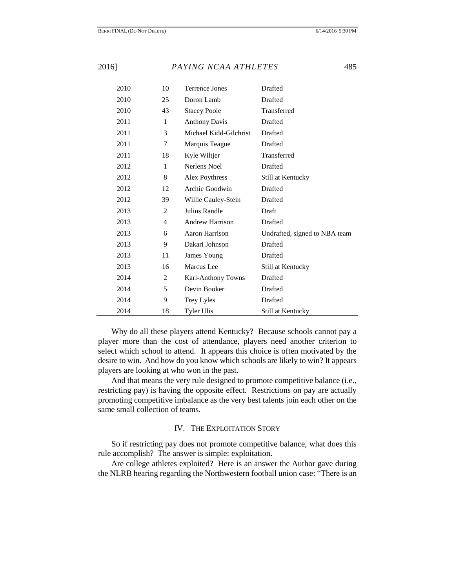| 2010 | 10           | <b>Terrence Jones</b>  | Drafted                       |
|------|--------------|------------------------|-------------------------------|
| 2010 | 25           | Doron Lamb             | Drafted                       |
| 2010 | 43           | <b>Stacey Poole</b>    | Transferred                   |
| 2011 | $\mathbf{1}$ | <b>Anthony Davis</b>   | Drafted                       |
| 2011 | 3            | Michael Kidd-Gilchrist | Drafted                       |
| 2011 | 7            | Marquis Teague         | Drafted                       |
| 2011 | 18           | Kyle Wiltjer           | Transferred                   |
| 2012 | $\mathbf{1}$ | Nerlens Noel           | Drafted                       |
| 2012 | 8            | Alex Poythress         | Still at Kentucky             |
| 2012 | 12           | Archie Goodwin         | Drafted                       |
| 2012 | 39           | Willie Cauley-Stein    | Drafted                       |
| 2013 | 2            | Julius Randle          | Draft                         |
| 2013 | 4            | <b>Andrew Harrison</b> | Drafted                       |
| 2013 | 6            | Aaron Harrison         | Undrafted, signed to NBA team |
| 2013 | 9            | Dakari Johnson         | Drafted                       |
| 2013 | 11           | James Young            | Drafted                       |
| 2013 | 16           | Marcus Lee             | Still at Kentucky             |
| 2014 | 2            | Karl-Anthony Towns     | Drafted                       |
| 2014 | 5            | Devin Booker           | Drafted                       |
| 2014 | 9            | Trey Lyles             | Drafted                       |
| 2014 | 18           | <b>Tyler Ulis</b>      | Still at Kentucky             |

Why do all these players attend Kentucky? Because schools cannot pay a player more than the cost of attendance, players need another criterion to select which school to attend. It appears this choice is often motivated by the desire to win. And how do you know which schools are likely to win? It appears players are looking at who won in the past.

And that means the very rule designed to promote competitive balance (i.e., restricting pay) is having the opposite effect. Restrictions on pay are actually promoting competitive imbalance as the very best talents join each other on the same small collection of teams.

#### IV. THE EXPLOITATION STORY

So if restricting pay does not promote competitive balance, what does this rule accomplish? The answer is simple: exploitation.

Are college athletes exploited? Here is an answer the Author gave during the NLRB hearing regarding the Northwestern football union case: "There is an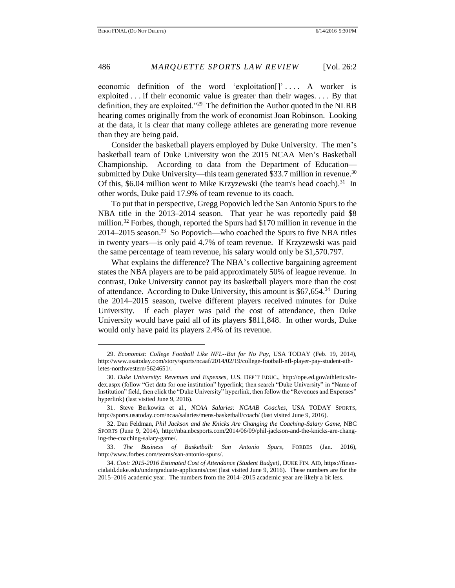economic definition of the word 'exploitation[]'.... A worker is exploited . . . if their economic value is greater than their wages. . . . By that definition, they are exploited."<sup>29</sup> The definition the Author quoted in the NLRB hearing comes originally from the work of economist Joan Robinson. Looking at the data, it is clear that many college athletes are generating more revenue than they are being paid.

Consider the basketball players employed by Duke University. The men's basketball team of Duke University won the 2015 NCAA Men's Basketball Championship. According to data from the Department of Education submitted by Duke University—this team generated \$33.7 million in revenue.<sup>30</sup> Of this, \$6.04 million went to Mike Krzyzewski (the team's head coach).<sup>31</sup> In other words, Duke paid 17.9% of team revenue to its coach.

To put that in perspective, Gregg Popovich led the San Antonio Spurs to the NBA title in the 2013–2014 season. That year he was reportedly paid \$8 million.<sup>32</sup> Forbes, though, reported the Spurs had \$170 million in revenue in the 2014–2015 season. 33 So Popovich—who coached the Spurs to five NBA titles in twenty years—is only paid 4.7% of team revenue. If Krzyzewski was paid the same percentage of team revenue, his salary would only be \$1,570.797.

What explains the difference? The NBA's collective bargaining agreement states the NBA players are to be paid approximately 50% of league revenue. In contrast, Duke University cannot pay its basketball players more than the cost of attendance. According to Duke University, this amount is \$67,654.<sup>34</sup> During the 2014–2015 season, twelve different players received minutes for Duke University. If each player was paid the cost of attendance, then Duke University would have paid all of its players \$811,848. In other words, Duke would only have paid its players 2.4% of its revenue.

<sup>29.</sup> *Economist: College Football Like NFL--But for No Pay*, USA TODAY (Feb. 19, 2014), http://www.usatoday.com/story/sports/ncaaf/2014/02/19/college-football-nfl-player-pay-student-athletes-northwestern/5624651/.

<sup>30.</sup> *Duke University: Revenues and Expenses*, U.S. DEP'T EDUC., http://ope.ed.gov/athletics/index.aspx (follow "Get data for one institution" hyperlink; then search "Duke University" in "Name of Institution" field, then click the "Duke University" hyperlink, then follow the "Revenues and Expenses" hyperlink) (last visited June 9, 2016).

<sup>31.</sup> Steve Berkowitz et al., *NCAA Salaries: NCAAB Coaches*, USA TODAY SPORTS, http://sports.usatoday.com/ncaa/salaries/mens-basketball/coach/ (last visited June 9, 2016).

<sup>32.</sup> Dan Feldman, *Phil Jackson and the Knicks Are Changing the Coaching-Salary Game*, NBC SPORTS (June 9, 2014), http://nba.nbcsports.com/2014/06/09/phil-jackson-and-the-knicks-are-changing-the-coaching-salary-game/.

<sup>33.</sup> *The Business of Basketball: San Antonio Spurs*, FORBES (Jan. 2016), http://www.forbes.com/teams/san-antonio-spurs/.

<sup>34.</sup> *Cost: 2015-2016 Estimated Cost of Attendance (Student Budget)*, DUKE FIN. AID, https://financialaid.duke.edu/undergraduate-applicants/cost (last visited June 9, 2016). These numbers are for the 2015–2016 academic year. The numbers from the 2014–2015 academic year are likely a bit less.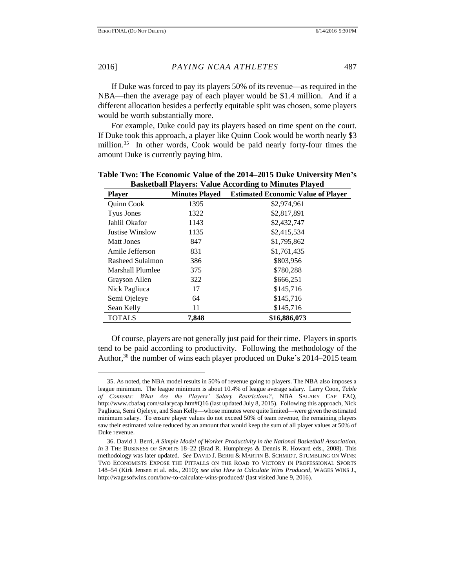If Duke was forced to pay its players 50% of its revenue—as required in the NBA—then the average pay of each player would be \$1.4 million. And if a different allocation besides a perfectly equitable split was chosen, some players would be worth substantially more.

For example, Duke could pay its players based on time spent on the court. If Duke took this approach, a player like Quinn Cook would be worth nearly \$3 million.<sup>35</sup> In other words, Cook would be paid nearly forty-four times the amount Duke is currently paying him.

| <b>Player</b>           | <b>Minutes Played</b> | <b>Estimated Economic Value of Player</b> |
|-------------------------|-----------------------|-------------------------------------------|
| <b>Ouinn Cook</b>       | 1395                  | \$2,974,961                               |
| <b>Tyus Jones</b>       | 1322                  | \$2,817,891                               |
| Jahlil Okafor           | 1143                  | \$2,432,747                               |
| Justise Winslow         | 1135                  | \$2,415,534                               |
| Matt Jones              | 847                   | \$1,795,862                               |
| Amile Jefferson         | 831                   | \$1,761,435                               |
| Rasheed Sulaimon        | 386                   | \$803,956                                 |
| <b>Marshall Plumlee</b> | 375                   | \$780.288                                 |
| Grayson Allen           | 322                   | \$666,251                                 |
| Nick Pagliuca           | 17                    | \$145,716                                 |
| Semi Ojeleye            | 64                    | \$145,716                                 |
| Sean Kelly              | 11                    | \$145,716                                 |
| <b>TOTALS</b>           | 7,848                 | \$16,886,073                              |

**Table Two: The Economic Value of the 2014–2015 Duke University Men's Basketball Players: Value According to Minutes Played**

Of course, players are not generally just paid for their time. Players in sports tend to be paid according to productivity. Following the methodology of the Author,<sup>36</sup> the number of wins each player produced on Duke's 2014–2015 team

<sup>35.</sup> As noted, the NBA model results in 50% of revenue going to players. The NBA also imposes a league minimum. The league minimum is about 10.4% of league average salary. Larry Coon, *Table of Contents: What Are the Players' Salary Restrictions?*, NBA SALARY CAP FAQ, http://www.cbafaq.com/salarycap.htm#Q16 (last updated July 8, 2015). Following this approach, Nick Pagliuca, Semi Ojeleye, and Sean Kelly—whose minutes were quite limited—were given the estimated minimum salary. To ensure player values do not exceed 50% of team revenue, the remaining players saw their estimated value reduced by an amount that would keep the sum of all player values at 50% of Duke revenue.

<sup>36.</sup> David J. Berri, *A Simple Model of Worker Productivity in the National Basketball Association*, *in* 3 THE BUSINESS OF SPORTS 18–22 (Brad R. Humphreys & Dennis R. Howard eds., 2008). This methodology was later updated. *See* DAVID J. BERRI & MARTIN B. SCHMIDT, STUMBLING ON WINS: TWO ECONOMISTS EXPOSE THE PITFALLS ON THE ROAD TO VICTORY IN PROFESSIONAL SPORTS 148–54 (Kirk Jensen et al. eds., 2010); *see also How to Calculate Wins Produced*, WAGES WINS J., http://wagesofwins.com/how-to-calculate-wins-produced/ (last visited June 9, 2016).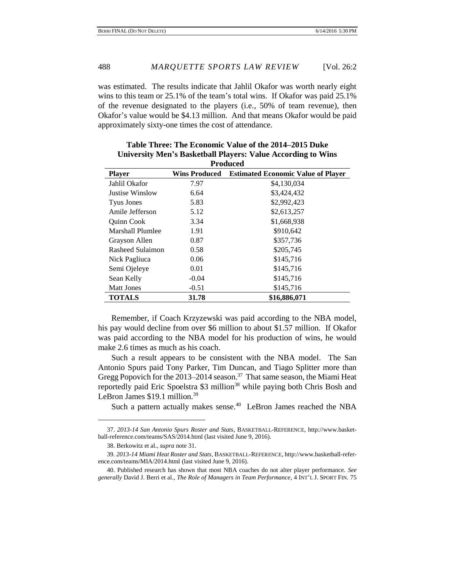was estimated. The results indicate that Jahlil Okafor was worth nearly eight wins to this team or 25.1% of the team's total wins. If Okafor was paid 25.1% of the revenue designated to the players (i.e., 50% of team revenue), then Okafor's value would be \$4.13 million. And that means Okafor would be paid approximately sixty-one times the cost of attendance.

| Table Three: The Economic Value of the 2014–2015 Duke               |
|---------------------------------------------------------------------|
| <b>University Men's Basketball Players: Value According to Wins</b> |
| <b>Produced</b>                                                     |

| <b>Player</b>     | <b>Wins Produced</b> | <b>Estimated Economic Value of Player</b> |
|-------------------|----------------------|-------------------------------------------|
| Jahlil Okafor     | 7.97                 | \$4,130,034                               |
| Justise Winslow   | 6.64                 | \$3,424,432                               |
| Tyus Jones        | 5.83                 | \$2,992,423                               |
| Amile Jefferson   | 5.12                 | \$2,613,257                               |
| <b>Ouinn Cook</b> | 3.34                 | \$1,668,938                               |
| Marshall Plumlee  | 1.91                 | \$910,642                                 |
| Grayson Allen     | 0.87                 | \$357,736                                 |
| Rasheed Sulaimon  | 0.58                 | \$205,745                                 |
| Nick Pagliuca     | 0.06                 | \$145,716                                 |
| Semi Ojeleye      | 0.01                 | \$145,716                                 |
| Sean Kelly        | $-0.04$              | \$145,716                                 |
| <b>Matt Jones</b> | $-0.51$              | \$145,716                                 |
| <b>TOTALS</b>     | 31.78                | \$16,886,071                              |

Remember, if Coach Krzyzewski was paid according to the NBA model, his pay would decline from over \$6 million to about \$1.57 million. If Okafor was paid according to the NBA model for his production of wins, he would make 2.6 times as much as his coach.

Such a result appears to be consistent with the NBA model. The San Antonio Spurs paid Tony Parker, Tim Duncan, and Tiago Splitter more than Gregg Popovich for the 2013–2014 season.<sup>37</sup> That same season, the Miami Heat reportedly paid Eric Spoelstra \$3 million<sup>38</sup> while paying both Chris Bosh and LeBron James \$19.1 million.<sup>39</sup>

Such a pattern actually makes sense.<sup>40</sup> LeBron James reached the NBA

<sup>37.</sup> *2013-14 San Antonio Spurs Roster and Stats*, BASKETBALL-REFERENCE, http://www.basketball-reference.com/teams/SAS/2014.html (last visited June 9, 2016).

<sup>38.</sup> Berkowitz et al., *supra* note 31.

<sup>39.</sup> *2013-14 Miami Heat Roster and Stats*, BASKETBALL-REFERENCE, http://www.basketball-reference.com/teams/MIA/2014.html (last visited June 9, 2016).

<sup>40.</sup> Published research has shown that most NBA coaches do not alter player performance. *See generally* David J. Berri et al., *The Role of Managers in Team Performance*, 4 INT'L J. SPORT FIN. 75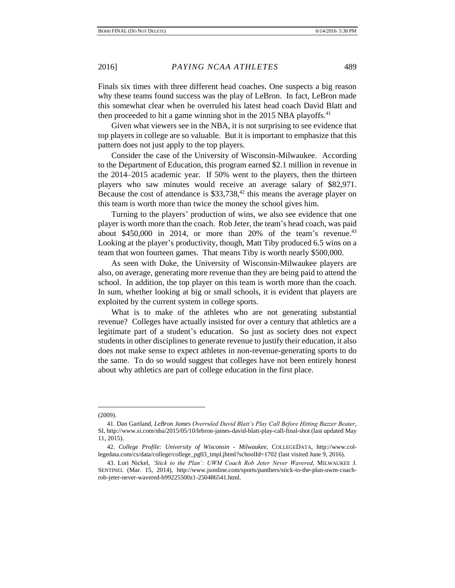Finals six times with three different head coaches. One suspects a big reason why these teams found success was the play of LeBron. In fact, LeBron made this somewhat clear when he overruled his latest head coach David Blatt and then proceeded to hit a game winning shot in the 2015 NBA playoffs.<sup>41</sup>

Given what viewers see in the NBA, it is not surprising to see evidence that top players in college are so valuable. But it is important to emphasize that this pattern does not just apply to the top players.

Consider the case of the University of Wisconsin-Milwaukee. According to the Department of Education, this program earned \$2.1 million in revenue in the 2014–2015 academic year. If 50% went to the players, then the thirteen players who saw minutes would receive an average salary of \$82,971. Because the cost of attendance is  $$33,738<sup>42</sup>$  this means the average player on this team is worth more than twice the money the school gives him.

Turning to the players' production of wins, we also see evidence that one player is worth more than the coach. Rob Jeter, the team's head coach, was paid about  $$450,000$  in 2014, or more than 20% of the team's revenue.<sup>43</sup> Looking at the player's productivity, though, Matt Tiby produced 6.5 wins on a team that won fourteen games. That means Tiby is worth nearly \$500,000.

As seen with Duke, the University of Wisconsin-Milwaukee players are also, on average, generating more revenue than they are being paid to attend the school. In addition, the top player on this team is worth more than the coach. In sum, whether looking at big or small schools, it is evident that players are exploited by the current system in college sports.

What is to make of the athletes who are not generating substantial revenue? Colleges have actually insisted for over a century that athletics are a legitimate part of a student's education. So just as society does not expect students in other disciplines to generate revenue to justify their education, it also does not make sense to expect athletes in non-revenue-generating sports to do the same. To do so would suggest that colleges have not been entirely honest about why athletics are part of college education in the first place.

<sup>(2009).</sup>

<sup>41.</sup> Dan Gartland, *LeBron James Overruled David Blatt's Play Call Before Hitting Buzzer Beater*, SI, http://www.si.com/nba/2015/05/10/lebron-james-david-blatt-play-call-final-shot (last updated May 11, 2015).

<sup>42.</sup> *College Profile: University of Wisconsin - Milwaukee*, COLLEGEDATA, http://www.collegedata.com/cs/data/college/college\_pg03\_tmpl.jhtml?schoolId=1702 (last visited June 9, 2016).

<sup>43.</sup> Lori Nickel, *'Stick to the Plan': UWM Coach Rob Jeter Never Wavered*, MILWAUKEE J. SENTINEL (Mar. 15, 2014), http://www.jsonline.com/sports/panthers/stick-to-the-plan-uwm-coachrob-jeter-never-wavered-b99225500z1-250486541.html.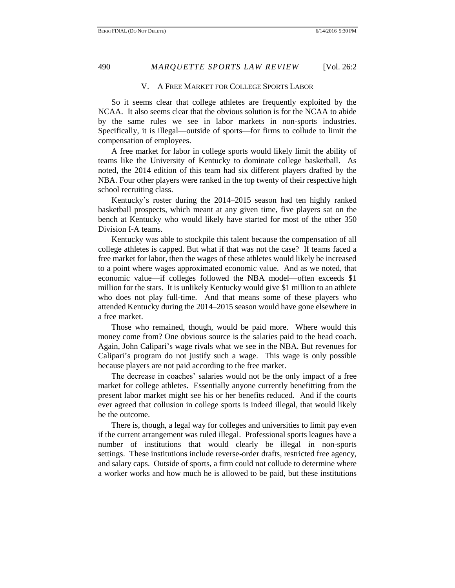#### V. A FREE MARKET FOR COLLEGE SPORTS LABOR

So it seems clear that college athletes are frequently exploited by the NCAA. It also seems clear that the obvious solution is for the NCAA to abide by the same rules we see in labor markets in non-sports industries. Specifically, it is illegal—outside of sports—for firms to collude to limit the compensation of employees.

A free market for labor in college sports would likely limit the ability of teams like the University of Kentucky to dominate college basketball. As noted, the 2014 edition of this team had six different players drafted by the NBA. Four other players were ranked in the top twenty of their respective high school recruiting class.

Kentucky's roster during the 2014–2015 season had ten highly ranked basketball prospects, which meant at any given time, five players sat on the bench at Kentucky who would likely have started for most of the other 350 Division I-A teams.

Kentucky was able to stockpile this talent because the compensation of all college athletes is capped. But what if that was not the case? If teams faced a free market for labor, then the wages of these athletes would likely be increased to a point where wages approximated economic value. And as we noted, that economic value—if colleges followed the NBA model—often exceeds \$1 million for the stars. It is unlikely Kentucky would give \$1 million to an athlete who does not play full-time. And that means some of these players who attended Kentucky during the 2014–2015 season would have gone elsewhere in a free market.

Those who remained, though, would be paid more. Where would this money come from? One obvious source is the salaries paid to the head coach. Again, John Calipari's wage rivals what we see in the NBA. But revenues for Calipari's program do not justify such a wage. This wage is only possible because players are not paid according to the free market.

The decrease in coaches' salaries would not be the only impact of a free market for college athletes. Essentially anyone currently benefitting from the present labor market might see his or her benefits reduced. And if the courts ever agreed that collusion in college sports is indeed illegal, that would likely be the outcome.

There is, though, a legal way for colleges and universities to limit pay even if the current arrangement was ruled illegal. Professional sports leagues have a number of institutions that would clearly be illegal in non-sports settings. These institutions include reverse-order drafts, restricted free agency, and salary caps. Outside of sports, a firm could not collude to determine where a worker works and how much he is allowed to be paid, but these institutions